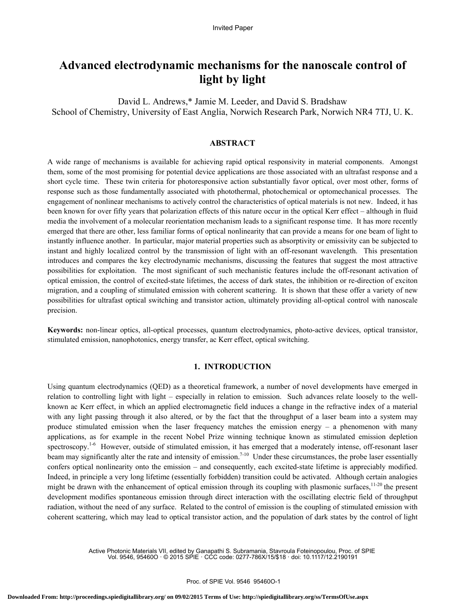# **Advanced electrodynamic mechanisms for the nanoscale control of light by light**

David L. Andrews,\* Jamie M. Leeder, and David S. Bradshaw School of Chemistry, University of East Anglia, Norwich Research Park, Norwich NR4 7TJ, U. K.

# **ABSTRACT**

A wide range of mechanisms is available for achieving rapid optical responsivity in material components. Amongst them, some of the most promising for potential device applications are those associated with an ultrafast response and a short cycle time. These twin criteria for photoresponsive action substantially favor optical, over most other, forms of response such as those fundamentally associated with photothermal, photochemical or optomechanical processes. The engagement of nonlinear mechanisms to actively control the characteristics of optical materials is not new. Indeed, it has been known for over fifty years that polarization effects of this nature occur in the optical Kerr effect – although in fluid media the involvement of a molecular reorientation mechanism leads to a significant response time. It has more recently emerged that there are other, less familiar forms of optical nonlinearity that can provide a means for one beam of light to instantly influence another. In particular, major material properties such as absorptivity or emissivity can be subjected to instant and highly localized control by the transmission of light with an off-resonant wavelength. This presentation introduces and compares the key electrodynamic mechanisms, discussing the features that suggest the most attractive possibilities for exploitation. The most significant of such mechanistic features include the off-resonant activation of optical emission, the control of excited-state lifetimes, the access of dark states, the inhibition or re-direction of exciton migration, and a coupling of stimulated emission with coherent scattering. It is shown that these offer a variety of new possibilities for ultrafast optical switching and transistor action, ultimately providing all-optical control with nanoscale precision.

**Keywords:** non-linear optics, all-optical processes, quantum electrodynamics, photo-active devices, optical transistor, stimulated emission, nanophotonics, energy transfer, ac Kerr effect, optical switching.

## **1. INTRODUCTION**

Using quantum electrodynamics (QED) as a theoretical framework, a number of novel developments have emerged in relation to controlling light with light – especially in relation to emission. Such advances relate loosely to the wellknown ac Kerr effect, in which an applied electromagnetic field induces a change in the refractive index of a material with any light passing through it also altered, or by the fact that the throughput of a laser beam into a system may produce stimulated emission when the laser frequency matches the emission energy – a phenomenon with many applications, as for example in the recent Nobel Prize winning technique known as stimulated emission depletion spectroscopy.<sup>1-6</sup> However, outside of stimulated emission, it has emerged that a moderately intense, off-resonant laser beam may significantly alter the rate and intensity of emission.<sup>7-10</sup> Under these circumstances, the probe laser essentially confers optical nonlinearity onto the emission – and consequently, each excited-state lifetime is appreciably modified. Indeed, in principle a very long lifetime (essentially forbidden) transition could be activated. Although certain analogies might be drawn with the enhancement of optical emission through its coupling with plasmonic surfaces, $11-20$  the present development modifies spontaneous emission through direct interaction with the oscillating electric field of throughput radiation, without the need of any surface. Related to the control of emission is the coupling of stimulated emission with coherent scattering, which may lead to optical transistor action, and the population of dark states by the control of light

> Active Photonic Materials VII, edited by Ganapathi S. Subramania, Stavroula Foteinopoulou, Proc. of SPIE Vol. 9546, 95460O · © 2015 SPIE · CCC code: 0277-786X/15/\$18 · doi: 10.1117/12.2190191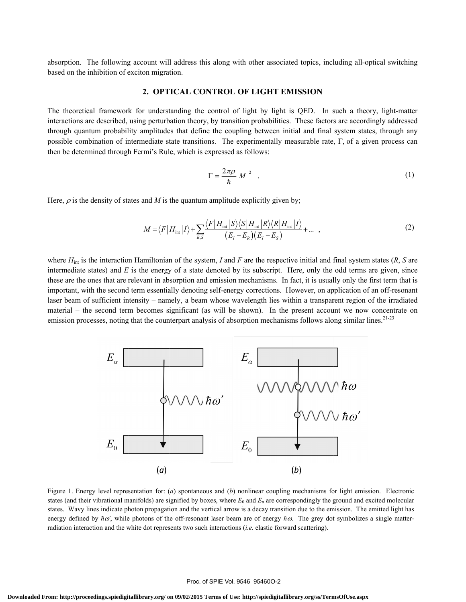absorption. The following account will address this along with other associated topics, including all-optical switching based on the inhibition of exciton migration.

# 2. OPTICAL CONTROL OF LIGHT EMISSION

The theoretical framework for understanding the control of light by light is QED. In such a theory, light-matter interactions are described, using perturbation theory, by transition probabilities. These factors are accordingly addressed through quantum probability amplitudes that define the coupling between initial and final system states, through any possible combination of intermediate state transitions. The experimentally measurable rate,  $\Gamma$ , of a given process can then be determined through Fermi's Rule, which is expressed as follows:

$$
\Gamma = \frac{2\pi\rho}{\hbar} |M|^2 \quad . \tag{1}
$$

Here,  $\rho$  is the density of states and M is the quantum amplitude explicitly given by;

$$
M = \langle F | H_{\text{int}} | I \rangle + \sum_{R,S} \frac{\langle F | H_{\text{int}} | S \rangle \langle S | H_{\text{int}} | R \rangle \langle R | H_{\text{int}} | I \rangle}{(E_I - E_R)(E_I - E_S)} + \dots \quad , \tag{2}
$$

where  $H_{int}$  is the interaction Hamiltonian of the system, I and F are the respective initial and final system states (R, S are intermediate states) and  $E$  is the energy of a state denoted by its subscript. Here, only the odd terms are given, since these are the ones that are relevant in absorption and emission mechanisms. In fact, it is usually only the first term that is important, with the second term essentially denoting self-energy corrections. However, on application of an off-resonant laser beam of sufficient intensity – namely, a beam whose wavelength lies within a transparent region of the irradiated material – the second term becomes significant (as will be shown). In the present account we now concentrate on emission processes, noting that the counterpart analysis of absorption mechanisms follows along similar lines.<sup>21-23</sup>



Figure 1. Energy level representation for: (*a*) spontaneous and (*b*) nonlinear coupling mechanisms for light emission. Electronic states (and their vibrational manifolds) are signified by boxes, where  $E_0$  and  $E_a$  are correspondingly the ground and excited molecular states. Wavy lines indicate photon propagation and the vertical arrow is a decay transition due to the emission. The emitted light has energy defined by  $\hbar \omega'$ , while photons of the off-resonant laser beam are of energy  $\hbar \omega$ . The grey dot symbolizes a single matterradiation interaction and the white dot represents two such interactions  $(i.e.$  elastic forward scattering).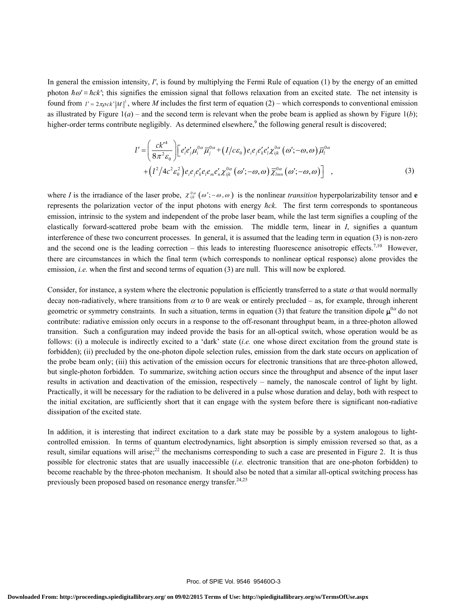In general the emission intensity, *I'*, is found by multiplying the Fermi Rule of equation (1) by the energy of an emitted photon  $\hbar \omega' = \hbar c k'$ ; this signifies the emission signal that follows relaxation from an excited state. The net intensity is found from  $I' = 2\pi \rho c k' |M|^2$ , where *M* includes the first term of equation (2) – which corresponds to conventional emission as illustrated by Figure  $1(a)$  – and the second term is relevant when the probe beam is applied as shown by Figure  $1(b)$ ; higher-order terms contribute negligibly. As determined elsewhere,<sup>9</sup> the following general result is discovered;

$$
I' = \left(\frac{ck'^4}{8\pi^2 \varepsilon_0}\right) \left[e'_i e'_j \mu_i^{0\alpha} \overline{\mu}_j^{0\alpha} + (I/c\varepsilon_0) e_i e_j e'_k e'_l \chi_{ijk}^{0\alpha} (\omega'; -\omega, \omega) \overline{\mu}_l^{0\alpha} + (I^2/4c^2\varepsilon_0^2) e_i e_j e'_k e_l e_m e'_n \chi_{ijk}^{0\alpha} (\omega'; -\omega, \omega) \overline{\chi}_{lmn}^{0\alpha} (\omega'; -\omega, \omega) \right] ,
$$
\n(3)

where *I* is the irradiance of the laser probe,  $\chi_{ijk}^{\alpha}(\omega'; -\omega, \omega)$  is the nonlinear *transition* hyperpolarizability tensor and **e** represents the polarization vector of the input photons with energy *ħck*. The first term corresponds to spontaneous emission, intrinsic to the system and independent of the probe laser beam, while the last term signifies a coupling of the elastically forward-scattered probe beam with the emission. The middle term, linear in *I*, signifies a quantum interference of these two concurrent processes. In general, it is assumed that the leading term in equation (3) is non-zero and the second one is the leading correction – this leads to interesting fluorescence anisotropic effects.<sup>7,10</sup> However, there are circumstances in which the final term (which corresponds to nonlinear optical response) alone provides the emission, *i.e.* when the first and second terms of equation (3) are null. This will now be explored.

Consider, for instance, a system where the electronic population is efficiently transferred to a state  $\alpha$  that would normally decay non-radiatively, where transitions from  $\alpha$  to 0 are weak or entirely precluded – as, for example, through inherent geometric or symmetry constraints. In such a situation, terms in equation (3) that feature the transition dipole  $\mu^{0\alpha}$  do not contribute: radiative emission only occurs in a response to the off-resonant throughput beam, in a three-photon allowed transition. Such a configuration may indeed provide the basis for an all-optical switch, whose operation would be as follows: (i) a molecule is indirectly excited to a 'dark' state (*i.e.* one whose direct excitation from the ground state is forbidden); (ii) precluded by the one-photon dipole selection rules, emission from the dark state occurs on application of the probe beam only; (iii) this activation of the emission occurs for electronic transitions that are three-photon allowed, but single-photon forbidden. To summarize, switching action occurs since the throughput and absence of the input laser results in activation and deactivation of the emission, respectively – namely, the nanoscale control of light by light. Practically, it will be necessary for the radiation to be delivered in a pulse whose duration and delay, both with respect to the initial excitation, are sufficiently short that it can engage with the system before there is significant non-radiative dissipation of the excited state.

In addition, it is interesting that indirect excitation to a dark state may be possible by a system analogous to lightcontrolled emission. In terms of quantum electrodynamics, light absorption is simply emission reversed so that, as a result, similar equations will arise;<sup>22</sup> the mechanisms corresponding to such a case are presented in Figure 2. It is thus possible for electronic states that are usually inaccessible (*i.e.* electronic transition that are one-photon forbidden) to become reachable by the three-photon mechanism. It should also be noted that a similar all-optical switching process has previously been proposed based on resonance energy transfer.<sup>24,25</sup>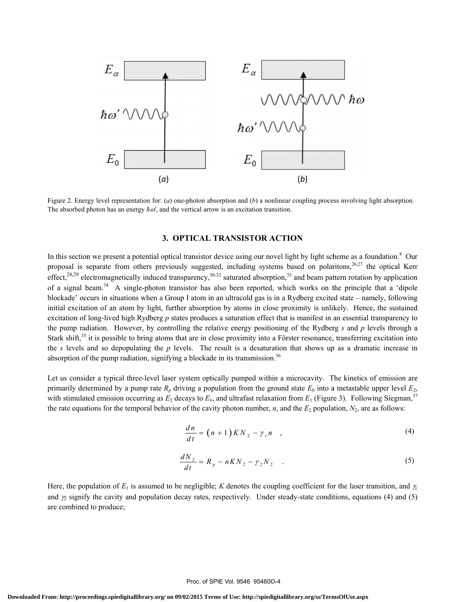

Figure 2. Energy level representation for: (*a*) one-photon absorption and (*b*) a nonlinear coupling process involving light absorption. The absorbed photon has an energy  $\hbar \omega'$ , and the vertical arrow is an excitation transition.

### **3. OPTICAL TRANSISTOR ACTION**

In this section we present a potential optical transistor device using our novel light by light scheme as a foundation.<sup>8</sup> Our In this section we present a potential optical transistor device using our novel light by light scheme as a foundation.<sup>8</sup> Our proposal is separate from others previously suggested, including systems based on polaritons,<sup>2</sup> effect,<sup>28,29</sup> electromagnetically induced transparency,<sup>30-32</sup> saturated absorption,<sup>33</sup> and beam pattern rotation by application of a signal beam.<sup>34</sup> A single-photon transistor has also been reported, which works on the principle that a 'dipole blockade' occurs in situations when a Group I atom in an ultracold gas is in a Rydberg excited state – namely, following initial excitation of an atom by light, further absorption by atoms in close proximity is unlikely. Hence, the sustained excitation of long-lived high Rydberg *p* states produces a saturation effect that is manifest in an essential transparency to the pump radiation. However, by controlling the relative energy positioning of the Rydberg  $s$  and  $p$  levels through a Stark shift,<sup>35</sup> it is possible to bring atoms that are in close proximity into a Förster resonance, transferring excitation into the *s* levels and so depopulating the *p* levels. The result is a desaturation that shows up as a dramatic increase in absorption of the pump radiation, signifying a blockade in its transmission.<sup>36</sup> negdoane<br>caoanee

Let us consider a typical three-level laser system optically pumped within a microcavity. The kinetics of emission are primarily determined by a pump rate  $R_p$  driving a population from the ground state  $E_0$  into a metastable upper level  $E_2$ with stimulated emission occurring as  $E_2$  decays to  $E_1$ , and ultrafast relaxation from  $E_1$  (Figure 3). Following Siegman,<sup>3</sup> the rate equations for the temporal behavior of the cavity photon number, *n*, and the  $E_2$  population,  $N_2$ , are as follows: 7

$$
\frac{dn}{dt} = (n+1)KN_2 - \gamma_c n \quad , \tag{4}
$$

$$
\frac{dN_2}{dt} = R_p - nKN_2 - \gamma_2 N_2 \quad . \tag{5}
$$

Here, the population of  $E_1$  is assumed to be negligible; *K* denotes the coupling coefficient for the laser transition, and  $\gamma_c$ and  $\gamma_2$  signify the cavity and population decay rates, respectively. Under steady-state conditions, equations (4) and (5) are combined d to produce;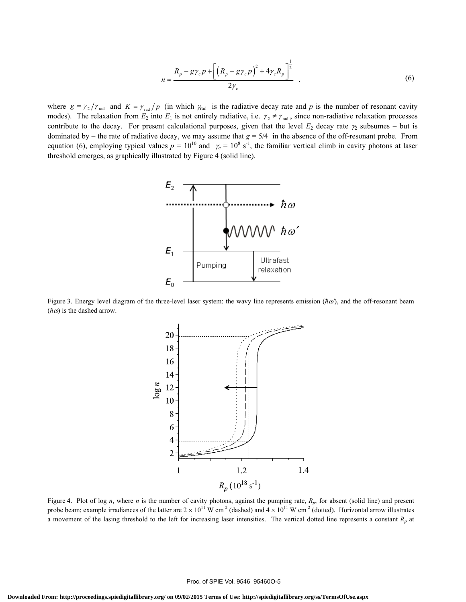$$
n = \frac{R_p - g\gamma_c p + \left[ \left( R_p - g\gamma_c p \right)^2 + 4\gamma_c R_p \right]^{\frac{1}{2}}}{2\gamma_c} \tag{6}
$$

where  $g = \gamma_2 / \gamma_{rad}$  and  $K = \gamma_{rad} / p$  (in which  $\gamma_{rad}$  is the radiative decay rate and p is the number of resonant cavity modes). The relaxation from  $E_2$  into  $E_1$  is not entirely radiative, i.e.  $\gamma_2 \neq \gamma_{rad}$ , since non-radiative relaxation processes contribute to the decay. For present calculational purposes, given that the level  $E_2$  decay rate  $\gamma_2$  subsumes – but is dominated by – the rate of radiative decay, we may assume that  $g = 5/4$  in the absence of the off-resonant probe. From equation (6), employing typical values  $p = 10^{10}$  and  $\gamma_c = 10^8$  s<sup>-1</sup>, the familiar vertical climb in cavity photons at laser threshold emerges, as graphically illustrated by Figure 4 (solid line).



Figure 3. Energy level diagram of the three-level laser system: the wavy line represents emission ( $\hbar \omega$ ), and the off-resonant beam  $(\hbar \omega)$  is the dashed arrow.



Figure 4. Plot of log n, where n is the number of cavity photons, against the pumping rate,  $R_p$ , for absent (solid line) and present probe beam; example irradiances of the latter are  $2 \times 10^{11}$  W cm<sup>-2</sup> (dashed) and  $4 \times 10^{11}$  W cm<sup>-2</sup> (dotted). Horizontal arrow illustrates a movement of the lasing threshold to the left for increasing laser intensities. The vertical dotted line represents a constant  $R_p$  at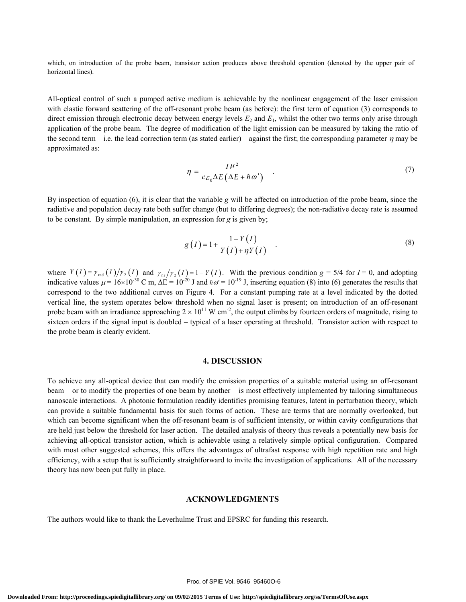which, on introduction of the probe beam, transistor action produces above threshold operation (denoted by the upper pair of horizontal lines).

All-optical control of such a pumped active medium is achievable by the nonlinear engagement of the laser emission with elastic forward scattering of the off-resonant probe beam (as before): the first term of equation (3) corresponds to direct emission through electronic decay between energy levels  $E_2$  and  $E_1$ , whilst the other two terms only arise through application of the probe beam. The degree of modification of the light emission can be measured by taking the ratio of the second term – i.e. the lead correction term (as stated earlier) – against the first; the corresponding parameter  $\eta$  may be approximated as:

$$
\eta = \frac{I^{\mu^2}}{c\varepsilon_0 \Delta E (\Delta E + \hbar \omega')} \quad . \tag{7}
$$

By inspection of equation (6), it is clear that the variable *g* will be affected on introduction of the probe beam, since the radiative and population decay rate both suffer change (but to differing degrees); the non-radiative decay rate is assumed to be constant. By simple manipulation, an expression for *g* is given by;

$$
g(I) = 1 + \frac{1 - Y(I)}{Y(I) + \eta Y(I)} \tag{8}
$$

where  $Y(I) = \gamma_{rad}(I)/\gamma_2(I)$  and  $\gamma_{nr}/\gamma_2(I) = 1 - Y(I)$ . With the previous condition  $g = 5/4$  for  $I = 0$ , and adopting indicative values  $\mu = 16 \times 10^{-30}$  C m,  $\Delta E = 10^{-20}$  J and  $\hbar \omega' = 10^{-19}$  J, inserting equation (8) into (6) generates the results that correspond to the two additional curves on Figure 4. For a constant pumping rate at a level indicated by the dotted vertical line, the system operates below threshold when no signal laser is present; on introduction of an off-resonant probe beam with an irradiance approaching  $2 \times 10^{11}$  W cm<sup>-2</sup>, the output climbs by fourteen orders of magnitude, rising to sixteen orders if the signal input is doubled – typical of a laser operating at threshold. Transistor action with respect to the probe beam is clearly evident.

#### **4. DISCUSSION**

To achieve any all-optical device that can modify the emission properties of a suitable material using an off-resonant beam – or to modify the properties of one beam by another – is most effectively implemented by tailoring simultaneous nanoscale interactions. A photonic formulation readily identifies promising features, latent in perturbation theory, which can provide a suitable fundamental basis for such forms of action. These are terms that are normally overlooked, but which can become significant when the off-resonant beam is of sufficient intensity, or within cavity configurations that are held just below the threshold for laser action. The detailed analysis of theory thus reveals a potentially new basis for achieving all-optical transistor action, which is achievable using a relatively simple optical configuration. Compared with most other suggested schemes, this offers the advantages of ultrafast response with high repetition rate and high efficiency, with a setup that is sufficiently straightforward to invite the investigation of applications. All of the necessary theory has now been put fully in place.

#### **ACKNOWLEDGMENTS**

The authors would like to thank the Leverhulme Trust and EPSRC for funding this research.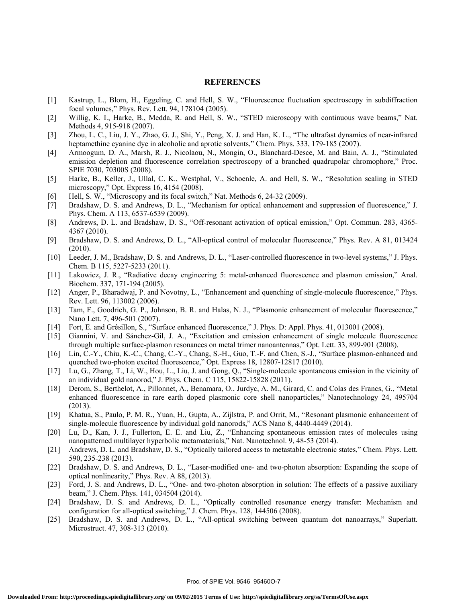#### **REFERENCES**

- [1] Kastrup, L., Blom, H., Eggeling, C. and Hell, S. W., "Fluorescence fluctuation spectroscopy in subdiffraction focal volumes," Phys. Rev. Lett. 94, 178104 (2005).
- [2] Willig, K. I., Harke, B., Medda, R. and Hell, S. W., "STED microscopy with continuous wave beams," Nat. Methods 4, 915-918 (2007).
- [3] Zhou, L. C., Liu, J. Y., Zhao, G. J., Shi, Y., Peng, X. J. and Han, K. L., "The ultrafast dynamics of near-infrared heptamethine cyanine dye in alcoholic and aprotic solvents," Chem. Phys. 333, 179-185 (2007).
- [4] Armoogum, D. A., Marsh, R. J., Nicolaou, N., Mongin, O., Blanchard-Desce, M. and Bain, A. J., "Stimulated emission depletion and fluorescence correlation spectroscopy of a branched quadrupolar chromophore," Proc. SPIE 7030, 70300S (2008).
- [5] Harke, B., Keller, J., Ullal, C. K., Westphal, V., Schoenle, A. and Hell, S. W., "Resolution scaling in STED microscopy," Opt. Express 16, 4154 (2008).
- [6] Hell, S. W., "Microscopy and its focal switch," Nat. Methods 6, 24-32 (2009).
- [7] Bradshaw, D. S. and Andrews, D. L., "Mechanism for optical enhancement and suppression of fluorescence," J. Phys. Chem. A 113, 6537-6539 (2009).
- [8] Andrews, D. L. and Bradshaw, D. S., "Off-resonant activation of optical emission," Opt. Commun. 283, 4365- 4367 (2010).
- [9] Bradshaw, D. S. and Andrews, D. L., "All-optical control of molecular fluorescence," Phys. Rev. A 81, 013424 (2010).
- [10] Leeder, J. M., Bradshaw, D. S. and Andrews, D. L., "Laser-controlled fluorescence in two-level systems," J. Phys. Chem. B 115, 5227-5233 (2011).
- [11] Lakowicz, J. R., "Radiative decay engineering 5: metal-enhanced fluorescence and plasmon emission," Anal. Biochem. 337, 171-194 (2005).
- [12] Anger, P., Bharadwaj, P. and Novotny, L., "Enhancement and quenching of single-molecule fluorescence," Phys. Rev. Lett. 96, 113002 (2006).
- [13] Tam, F., Goodrich, G. P., Johnson, B. R. and Halas, N. J., "Plasmonic enhancement of molecular fluorescence," Nano Lett. 7, 496-501 (2007).
- [14] Fort, E. and Grésillon, S., "Surface enhanced fluorescence," J. Phys. D: Appl. Phys. 41, 013001 (2008).
- [15] Giannini, V. and Sánchez-Gil, J. A., "Excitation and emission enhancement of single molecule fluorescence through multiple surface-plasmon resonances on metal trimer nanoantennas," Opt. Lett. 33, 899-901 (2008).
- [16] Lin, C.-Y., Chiu, K.-C., Chang, C.-Y., Chang, S.-H., Guo, T.-F. and Chen, S.-J., "Surface plasmon-enhanced and quenched two-photon excited fluorescence," Opt. Express 18, 12807-12817 (2010).
- [17] Lu, G., Zhang, T., Li, W., Hou, L., Liu, J. and Gong, Q., "Single-molecule spontaneous emission in the vicinity of an individual gold nanorod," J. Phys. Chem. C 115, 15822-15828 (2011).
- [18] Derom, S., Berthelot, A., Pillonnet, A., Benamara, O., Jurdyc, A. M., Girard, C. and Colas des Francs, G., "Metal enhanced fluorescence in rare earth doped plasmonic core–shell nanoparticles," Nanotechnology 24, 495704 (2013).
- [19] Khatua, S., Paulo, P. M. R., Yuan, H., Gupta, A., Zijlstra, P. and Orrit, M., "Resonant plasmonic enhancement of single-molecule fluorescence by individual gold nanorods," ACS Nano 8, 4440-4449 (2014).
- [20] Lu, D., Kan, J. J., Fullerton, E. E. and Liu, Z., "Enhancing spontaneous emission rates of molecules using nanopatterned multilayer hyperbolic metamaterials," Nat. Nanotechnol. 9, 48-53 (2014).
- [21] Andrews, D. L. and Bradshaw, D. S., "Optically tailored access to metastable electronic states," Chem. Phys. Lett. 590, 235-238 (2013).
- [22] Bradshaw, D. S. and Andrews, D. L., "Laser-modified one- and two-photon absorption: Expanding the scope of optical nonlinearity," Phys. Rev. A 88, (2013).
- [23] Ford, J. S. and Andrews, D. L., "One- and two-photon absorption in solution: The effects of a passive auxiliary beam," J. Chem. Phys. 141, 034504 (2014).
- [24] Bradshaw, D. S. and Andrews, D. L., "Optically controlled resonance energy transfer: Mechanism and configuration for all-optical switching," J. Chem. Phys. 128, 144506 (2008).
- [25] Bradshaw, D. S. and Andrews, D. L., "All-optical switching between quantum dot nanoarrays," Superlatt. Microstruct. 47, 308-313 (2010).